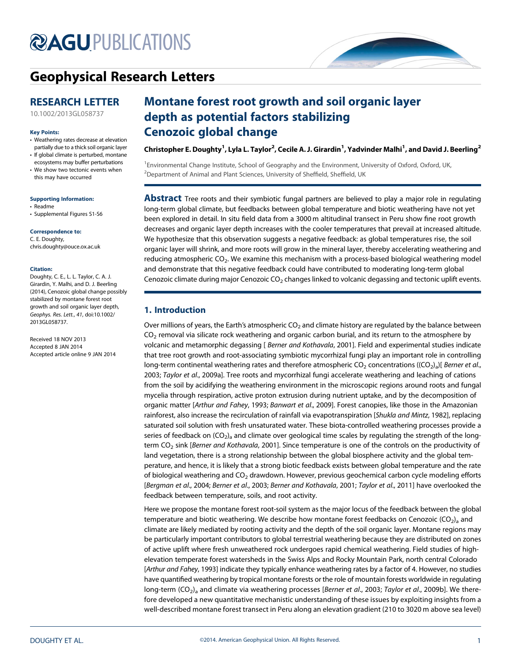# **@AGU[PUBLICATIONS](http://publications.agu.org/journals/)**



# [Geophysical Research Letters](http://onlinelibrary.wiley.com/journal/10.1002/(ISSN)1944-8007)

## RESEARCH LETTER

[10.1002/2013GL058737](http://dx.doi.org/10.1002/2013GL058737)

#### Key Points:

- Weathering rates decrease at elevation partially due to a thick soil organic layer
- If global climate is perturbed, montane ecosystems may buffer perturbations
- We show two tectonic events when this may have occurred

#### Supporting Information:

- Readme
- Supplemental Figures S1-S6

#### Correspondence to:

C. E. Doughty, chris.doughty@ouce.ox.ac.uk

#### Citation:

Doughty, C. E., L. L. Taylor, C. A. J. Girardin, Y. Malhi, and D. J. Beerling (2014), Cenozoic global change possibly stabilized by montane forest root growth and soil organic layer depth, Geophys. Res. Lett., 41, doi:10.1002/ 2013GL058737.

Received 18 NOV 2013 Accepted 8 JAN 2014 Accepted article online 9 JAN 2014

# Montane forest root growth and soil organic layer depth as potential factors stabilizing Cenozoic global change

Christopher E. Doughty  $^1$ , Lyla L. Taylor $^2$ , Cecile A. J. Girardin  $^1$ , Yadvinder Malhi  $^1$ , and David J. Beerling  $^2$ 

<sup>1</sup> Environmental Change Institute, School of Geography and the Environment, University of Oxford, Oxford, UK, <sup>2</sup>Department of Animal and Plant Sciences, University of Sheffield, Sheffield, UK

**Abstract** Tree roots and their symbiotic fungal partners are believed to play a major role in regulating long-term global climate, but feedbacks between global temperature and biotic weathering have not yet been explored in detail. In situ field data from a 3000 m altitudinal transect in Peru show fine root growth decreases and organic layer depth increases with the cooler temperatures that prevail at increased altitude. We hypothesize that this observation suggests a negative feedback: as global temperatures rise, the soil organic layer will shrink, and more roots will grow in the mineral layer, thereby accelerating weathering and reducing atmospheric CO<sub>2</sub>. We examine this mechanism with a process-based biological weathering model and demonstrate that this negative feedback could have contributed to moderating long-term global Cenozoic climate during major Cenozoic  $CO<sub>2</sub>$  changes linked to volcanic degassing and tectonic uplift events.

### 1. Introduction

Over millions of years, the Earth's atmospheric  $CO<sub>2</sub>$  and climate history are regulated by the balance between  $CO<sub>2</sub>$  removal via silicate rock weathering and organic carbon burial, and its return to the atmosphere by volcanic and metamorphic degassing [ Berner and Kothavala, 2001]. Field and experimental studies indicate that tree root growth and root-associating symbiotic mycorrhizal fungi play an important role in controlling long-term continental weathering rates and therefore atmospheric CO<sub>2</sub> concentrations ((CO<sub>2</sub>)<sub>a</sub>)[ *Berner et al.*, 2003; Taylor et al., 2009a]. Tree roots and mycorrhizal fungi accelerate weathering and leaching of cations from the soil by acidifying the weathering environment in the microscopic regions around roots and fungal mycelia through respiration, active proton extrusion during nutrient uptake, and by the decomposition of organic matter [Arthur and Fahey, 1993; Banwart et al., 2009]. Forest canopies, like those in the Amazonian rainforest, also increase the recirculation of rainfall via evapotranspiration [Shukla and Mintz, 1982], replacing saturated soil solution with fresh unsaturated water. These biota-controlled weathering processes provide a series of feedback on  $(CO_2)$ <sub>a</sub> and climate over geological time scales by regulating the strength of the longterm CO<sub>2</sub> sink [Berner and Kothavala, 2001]. Since temperature is one of the controls on the productivity of land vegetation, there is a strong relationship between the global biosphere activity and the global temperature, and hence, it is likely that a strong biotic feedback exists between global temperature and the rate of biological weathering and CO<sub>2</sub> drawdown. However, previous geochemical carbon cycle modeling efforts [Bergman et al., 2004; Berner et al., 2003; Berner and Kothavala, 2001; Taylor et al., 2011] have overlooked the feedback between temperature, soils, and root activity.

Here we propose the montane forest root-soil system as the major locus of the feedback between the global temperature and biotic weathering. We describe how montane forest feedbacks on Cenozoic (CO<sub>2</sub>)<sub>a</sub> and climate are likely mediated by rooting activity and the depth of the soil organic layer. Montane regions may be particularly important contributors to global terrestrial weathering because they are distributed on zones of active uplift where fresh unweathered rock undergoes rapid chemical weathering. Field studies of highelevation temperate forest watersheds in the Swiss Alps and Rocky Mountain Park, north central Colorado [Arthur and Fahey, 1993] indicate they typically enhance weathering rates by a factor of 4. However, no studies have quantified weathering by tropical montane forests or the role of mountain forests worldwide in regulating long-term  $(CO<sub>2</sub>)<sub>a</sub>$  and climate via weathering processes [Berner et al., 2003; Taylor et al., 2009b]. We therefore developed a new quantitative mechanistic understanding of these issues by exploiting insights from a well-described montane forest transect in Peru along an elevation gradient (210 to 3020 m above sea level)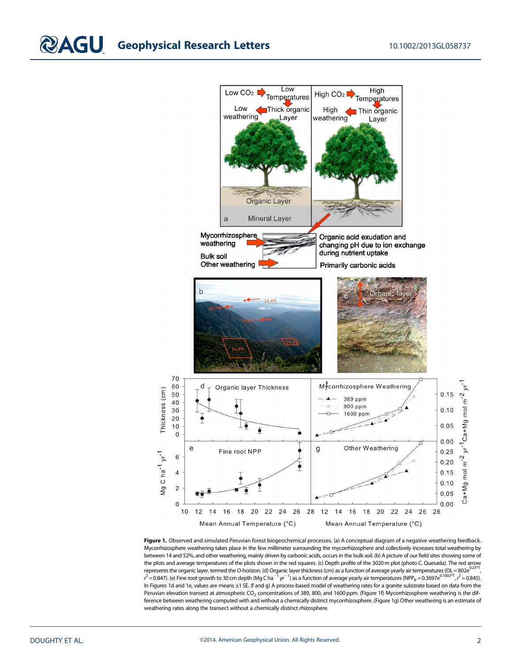

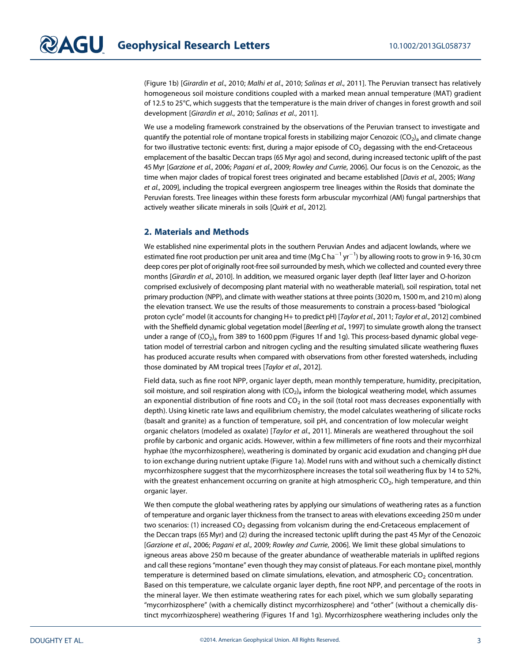(Figure 1b) [Girardin et al., 2010; Malhi et al., 2010; Salinas et al., 2011]. The Peruvian transect has relatively homogeneous soil moisture conditions coupled with a marked mean annual temperature (MAT) gradient of 12.5 to 25°C, which suggests that the temperature is the main driver of changes in forest growth and soil development [Girardin et al., 2010; Salinas et al., 2011].

We use a modeling framework constrained by the observations of the Peruvian transect to investigate and quantify the potential role of montane tropical forests in stabilizing major Cenozoic (CO<sub>2</sub>)<sub>a</sub> and climate change for two illustrative tectonic events: first, during a major episode of  $CO<sub>2</sub>$  degassing with the end-Cretaceous emplacement of the basaltic Deccan traps (65 Myr ago) and second, during increased tectonic uplift of the past 45 Myr [Garzione et al., 2006; Pagani et al., 2009; Rowley and Currie, 2006]. Our focus is on the Cenozoic, as the time when major clades of tropical forest trees originated and became established [Davis et al., 2005; Wang et al., 2009], including the tropical evergreen angiosperm tree lineages within the Rosids that dominate the Peruvian forests. Tree lineages within these forests form arbuscular mycorrhizal (AM) fungal partnerships that actively weather silicate minerals in soils [Quirk et al., 2012].

## 2. Materials and Methods

We established nine experimental plots in the southern Peruvian Andes and adjacent lowlands, where we estimated fine root production per unit area and time (Mg C ha $^{-1}$  yr $^{-1}$ ) by allowing roots to grow in 9-16, 30 cm deep cores per plot of originally root-free soil surrounded by mesh, which we collected and counted every three months [Girardin et al., 2010]. In addition, we measured organic layer depth (leaf litter layer and O-horizon comprised exclusively of decomposing plant material with no weatherable material), soil respiration, total net primary production (NPP), and climate with weather stations at three points (3020 m, 1500 m, and 210 m) along the elevation transect. We use the results of those measurements to constrain a process-based "biological proton cycle" model (it accounts for changing H+ to predict pH) [Taylor et al., 2011; Taylor et al., 2012] combined with the Sheffield dynamic global vegetation model [Beerling et al., 1997] to simulate growth along the transect under a range of  $(CO<sub>2</sub>)<sub>a</sub>$  from 389 to 1600 ppm (Figures 1f and 1g). This process-based dynamic global vegetation model of terrestrial carbon and nitrogen cycling and the resulting simulated silicate weathering fluxes has produced accurate results when compared with observations from other forested watersheds, including those dominated by AM tropical trees [Taylor et al., 2012].

Field data, such as fine root NPP, organic layer depth, mean monthly temperature, humidity, precipitation, soil moisture, and soil respiration along with  $(CO<sub>2</sub>)<sub>a</sub>$  inform the biological weathering model, which assumes an exponential distribution of fine roots and  $CO<sub>2</sub>$  in the soil (total root mass decreases exponentially with depth). Using kinetic rate laws and equilibrium chemistry, the model calculates weathering of silicate rocks (basalt and granite) as a function of temperature, soil pH, and concentration of low molecular weight organic chelators (modeled as oxalate) [Taylor et al., 2011]. Minerals are weathered throughout the soil profile by carbonic and organic acids. However, within a few millimeters of fine roots and their mycorrhizal hyphae (the mycorrhizosphere), weathering is dominated by organic acid exudation and changing pH due to ion exchange during nutrient uptake (Figure 1a). Model runs with and without such a chemically distinct mycorrhizosphere suggest that the mycorrhizosphere increases the total soil weathering flux by 14 to 52%, with the greatest enhancement occurring on granite at high atmospheric  $CO<sub>2</sub>$ , high temperature, and thin organic layer.

We then compute the global weathering rates by applying our simulations of weathering rates as a function of temperature and organic layer thickness from the transect to areas with elevations exceeding 250 m under two scenarios: (1) increased  $CO<sub>2</sub>$  degassing from volcanism during the end-Cretaceous emplacement of the Deccan traps (65 Myr) and (2) during the increased tectonic uplift during the past 45 Myr of the Cenozoic [Garzione et al., 2006; Pagani et al., 2009; Rowley and Currie, 2006]. We limit these global simulations to igneous areas above 250 m because of the greater abundance of weatherable materials in uplifted regions and call these regions "montane" even though they may consist of plateaus. For each montane pixel, monthly temperature is determined based on climate simulations, elevation, and atmospheric  $CO<sub>2</sub>$  concentration. Based on this temperature, we calculate organic layer depth, fine root NPP, and percentage of the roots in the mineral layer. We then estimate weathering rates for each pixel, which we sum globally separating "mycorrhizosphere" (with a chemically distinct mycorrhizosphere) and "other" (without a chemically distinct mycorrhizosphere) weathering (Figures 1f and 1g). Mycorrhizosphere weathering includes only the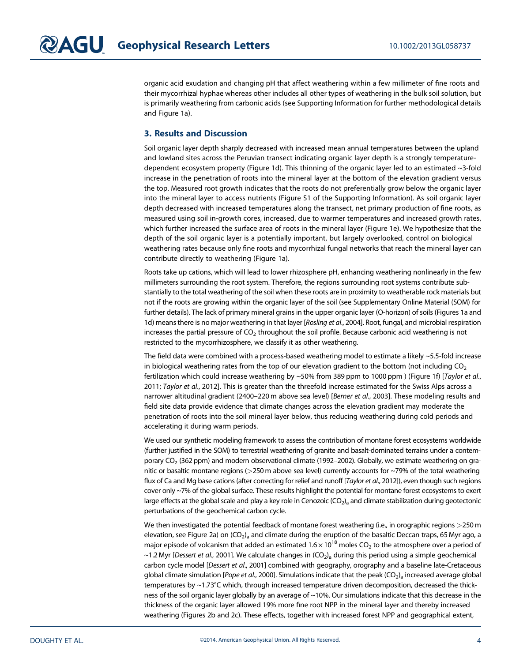organic acid exudation and changing pH that affect weathering within a few millimeter of fine roots and their mycorrhizal hyphae whereas other includes all other types of weathering in the bulk soil solution, but is primarily weathering from carbonic acids (see Supporting Information for further methodological details and Figure 1a).

## 3. Results and Discussion

Soil organic layer depth sharply decreased with increased mean annual temperatures between the upland and lowland sites across the Peruvian transect indicating organic layer depth is a strongly temperaturedependent ecosystem property (Figure 1d). This thinning of the organic layer led to an estimated ~3-fold increase in the penetration of roots into the mineral layer at the bottom of the elevation gradient versus the top. Measured root growth indicates that the roots do not preferentially grow below the organic layer into the mineral layer to access nutrients (Figure S1 of the Supporting Information). As soil organic layer depth decreased with increased temperatures along the transect, net primary production of fine roots, as measured using soil in-growth cores, increased, due to warmer temperatures and increased growth rates, which further increased the surface area of roots in the mineral layer (Figure 1e). We hypothesize that the depth of the soil organic layer is a potentially important, but largely overlooked, control on biological weathering rates because only fine roots and mycorrhizal fungal networks that reach the mineral layer can contribute directly to weathering (Figure 1a).

Roots take up cations, which will lead to lower rhizosphere pH, enhancing weathering nonlinearly in the few millimeters surrounding the root system. Therefore, the regions surrounding root systems contribute substantially to the total weathering of the soil when these roots are in proximity to weatherable rock materials but not if the roots are growing within the organic layer of the soil (see Supplementary Online Material (SOM) for further details). The lack of primary mineral grains in the upper organic layer (O-horizon) of soils (Figures 1a and 1d) means there is no major weathering in that layer [Rosling et al., 2004]. Root, fungal, and microbial respiration increases the partial pressure of  $CO<sub>2</sub>$  throughout the soil profile. Because carbonic acid weathering is not restricted to the mycorrhizosphere, we classify it as other weathering.

The field data were combined with a process-based weathering model to estimate a likely ~5.5-fold increase in biological weathering rates from the top of our elevation gradient to the bottom (not including  $CO<sub>2</sub>$ fertilization which could increase weathering by ~50% from 389 ppm to 1000 ppm ) (Figure 1f) [Taylor et al., 2011; Taylor et al., 2012]. This is greater than the threefold increase estimated for the Swiss Alps across a narrower altitudinal gradient (2400-220 m above sea level) [Berner et al., 2003]. These modeling results and field site data provide evidence that climate changes across the elevation gradient may moderate the penetration of roots into the soil mineral layer below, thus reducing weathering during cold periods and accelerating it during warm periods.

We used our synthetic modeling framework to assess the contribution of montane forest ecosystems worldwide (further justified in the SOM) to terrestrial weathering of granite and basalt-dominated terrains under a contemporary CO<sub>2</sub> (362 ppm) and modern observational climate (1992–2002). Globally, we estimate weathering on granitic or basaltic montane regions (>250 m above sea level) currently accounts for ~79% of the total weathering flux of Ca and Mg base cations (after correcting for relief and runoff [Taylor et al., 2012]), even though such regions cover only ~7% of the global surface. These results highlight the potential for montane forest ecosystems to exert large effects at the global scale and play a key role in Cenozoic  $(CO_2)$ <sub>a</sub> and climate stabilization during geotectonic perturbations of the geochemical carbon cycle.

We then investigated the potential feedback of montane forest weathering (i.e., in orographic regions >250 m elevation, see Figure 2a) on  $(CO_2)$ <sub>a</sub> and climate during the eruption of the basaltic Deccan traps, 65 Myr ago, a major episode of volcanism that added an estimated  $1.6 \times 10^{18}$  moles CO<sub>2</sub> to the atmosphere over a period of ~1.2 Myr [Dessert et al., 2001]. We calculate changes in  $(CO<sub>2</sub>)<sub>a</sub>$  during this period using a simple geochemical carbon cycle model [Dessert et al., 2001] combined with geography, orography and a baseline late-Cretaceous global climate simulation [Pope et al., 2000]. Simulations indicate that the peak (CO<sub>2</sub>)<sub>a</sub> increased average global temperatures by ~1.73°C which, through increased temperature driven decomposition, decreased the thickness of the soil organic layer globally by an average of ~10%. Our simulations indicate that this decrease in the thickness of the organic layer allowed 19% more fine root NPP in the mineral layer and thereby increased weathering (Figures 2b and 2c). These effects, together with increased forest NPP and geographical extent,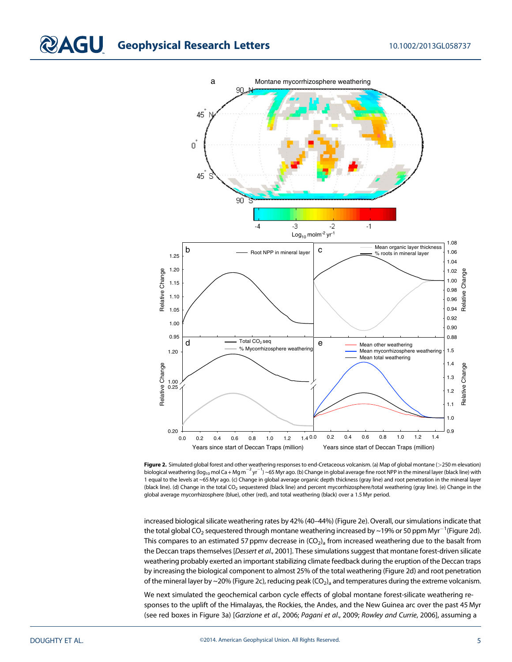# **COAGU** Geophysical Research Letters 10.1002/2013GL058737



Figure 2. Simulated global forest and other weathering responses to end-Cretaceous volcanism. (a) Map of global montane (>250 m elevation) biological weathering (log<sub>10</sub> mol Ca + Mg m $^{-2}$ yr $^{-1}$ ) ~65 Myr ago. (b) Change in global average fine root NPP in the mineral layer (black line) with 1 equal to the levels at ~65 Myr ago. (c) Change in global average organic depth thickness (gray line) and root penetration in the mineral layer (black line). (d) Change in the total CO<sub>2</sub> sequestered (black line) and percent mycorrhizosphere/total weathering (gray line). (e) Change in the global average mycorrhizosphere (blue), other (red), and total weathering (black) over a 1.5 Myr period.

increased biological silicate weathering rates by 42% (40–44%) (Figure 2e). Overall, our simulations indicate that the total global CO<sub>2</sub> sequestered through montane weathering increased by ~19% or 50 ppm Myr $^{-1}$ (Figure 2d). This compares to an estimated 57 ppmv decrease in  $(CO<sub>2</sub>)<sub>a</sub>$  from increased weathering due to the basalt from the Deccan traps themselves [Dessert et al., 2001]. These simulations suggest that montane forest-driven silicate weathering probably exerted an important stabilizing climate feedback during the eruption of the Deccan traps by increasing the biological component to almost 25% of the total weathering (Figure 2d) and root penetration of the mineral layer by ~20% (Figure 2c), reducing peak  $(CO_2)$ <sub>a</sub> and temperatures during the extreme volcanism.

We next simulated the geochemical carbon cycle effects of global montane forest-silicate weathering responses to the uplift of the Himalayas, the Rockies, the Andes, and the New Guinea arc over the past 45 Myr (see red boxes in Figure 3a) [Garzione et al., 2006; Pagani et al., 2009; Rowley and Currie, 2006], assuming a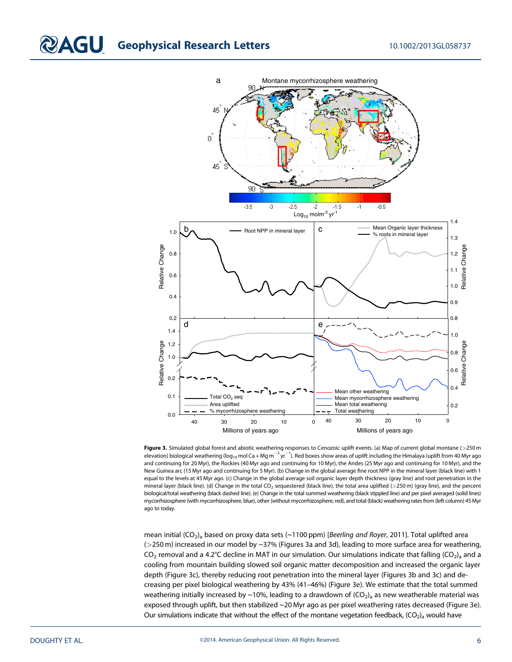# **COAGU** Geophysical Research Letters 10.1002/2013GL058737



Figure 3. Simulated global forest and abiotic weathering responses to Cenozoic uplift events. (a) Map of current global montane ( $>$ 250 m elevation) biological weathering (log<sub>10</sub> mol Ca + Mg m<sup>-2</sup> yr<sup>-1</sup>). Red boxes show areas of uplift including the Himalaya (uplift from 40 Myr ago and continuing for 20 Myr), the Rockies (40 Myr ago and continuing for 10 Myr), the Andes (25 Myr ago and continuing for 10 Myr), and the New Guinea arc (15 Myr ago and continuing for 5 Myr). (b) Change in the global average fine root NPP in the mineral layer (black line) with 1 equal to the levels at 45 Myr ago. (c) Change in the global average soil organic layer depth thickness (gray line) and root penetration in the mineral layer (black line). (d) Change in the total CO<sub>2</sub> sequestered (black line), the total area uplifted (>250 m) (gray line), and the percent biological/total weathering (black dashed line). (e) Change in the total summed weathering (black stippled line) and per pixel averaged (solid lines) mycorrhizosphere (with mycorrhizosphere, blue), other (without mycorrhizosphere, red), and total (black) weathering rates from (left column) 45 Myr ago to today.

mean initial (CO<sub>2</sub>)<sub>a</sub> based on proxy data sets (~1100 ppm) [Beerling and Royer, 2011]. Total uplifted area (>250 m) increased in our model by ~37% (Figures 3a and 3d), leading to more surface area for weathering, CO<sub>2</sub> removal and a 4.2°C decline in MAT in our simulation. Our simulations indicate that falling (CO<sub>2</sub>)<sub>a</sub> and a cooling from mountain building slowed soil organic matter decomposition and increased the organic layer depth (Figure 3c), thereby reducing root penetration into the mineral layer (Figures 3b and 3c) and decreasing per pixel biological weathering by 43% (41–46%) (Figure 3e). We estimate that the total summed weathering initially increased by ~10%, leading to a drawdown of  $(CO<sub>2</sub>)<sub>a</sub>$  as new weatherable material was exposed through uplift, but then stabilized ~20 Myr ago as per pixel weathering rates decreased (Figure 3e). Our simulations indicate that without the effect of the montane vegetation feedback,  $(CO<sub>2</sub>)<sub>a</sub>$  would have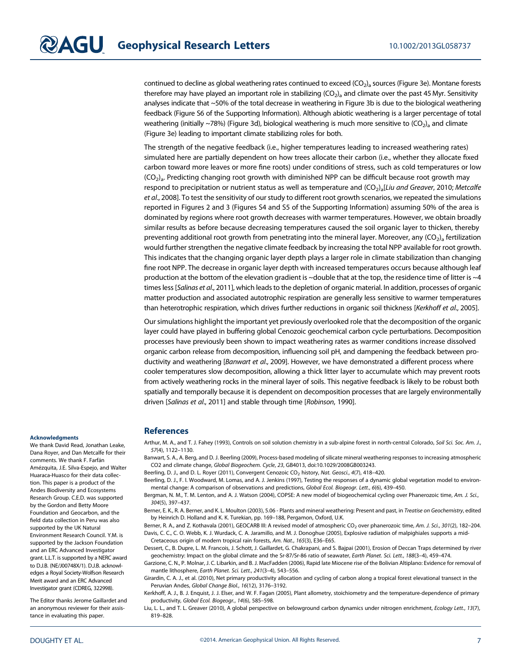continued to decline as global weathering rates continued to exceed  $(CO<sub>2</sub>)<sub>a</sub>$  sources (Figure 3e). Montane forests therefore may have played an important role in stabilizing  $(CO<sub>2</sub>)<sub>a</sub>$  and climate over the past 45 Myr. Sensitivity analyses indicate that ~50% of the total decrease in weathering in Figure 3b is due to the biological weathering feedback (Figure S6 of the Supporting Information). Although abiotic weathering is a larger percentage of total weathering (initially ~78%) (Figure 3d), biological weathering is much more sensitive to  $(CO<sub>2</sub>)<sub>a</sub>$  and climate (Figure 3e) leading to important climate stabilizing roles for both.

The strength of the negative feedback (i.e., higher temperatures leading to increased weathering rates) simulated here are partially dependent on how trees allocate their carbon (i.e., whether they allocate fixed carbon toward more leaves or more fine roots) under conditions of stress, such as cold temperatures or low  $(CO<sub>2</sub>)<sub>a</sub>$ . Predicting changing root growth with diminished NPP can be difficult because root growth may respond to precipitation or nutrient status as well as temperature and  $(CO<sub>2</sub>)<sub>a</sub>[Liu$  and Greaver, 2010; Metcalfe et al., 2008]. To test the sensitivity of our study to different root growth scenarios, we repeated the simulations reported in Figures 2 and 3 (Figures S4 and S5 of the Supporting Information) assuming 50% of the area is dominated by regions where root growth decreases with warmer temperatures. However, we obtain broadly similar results as before because decreasing temperatures caused the soil organic layer to thicken, thereby preventing additional root growth from penetrating into the mineral layer. Moreover, any  $(CO<sub>2</sub>)<sub>a</sub>$  fertilization would further strengthen the negative climate feedback by increasing the total NPP available for root growth. This indicates that the changing organic layer depth plays a larger role in climate stabilization than changing fine root NPP. The decrease in organic layer depth with increased temperatures occurs because although leaf production at the bottom of the elevation gradient is ~double that at the top, the residence time of litter is ~4 times less [Salinas et al., 2011], which leads to the depletion of organic material. In addition, processes of organic matter production and associated autotrophic respiration are generally less sensitive to warmer temperatures than heterotrophic respiration, which drives further reductions in organic soil thickness [Kerkhoff et al., 2005].

Our simulations highlight the important yet previously overlooked role that the decomposition of the organic layer could have played in buffering global Cenozoic geochemical carbon cycle perturbations. Decomposition processes have previously been shown to impact weathering rates as warmer conditions increase dissolved organic carbon release from decomposition, influencing soil pH, and dampening the feedback between productivity and weathering [Banwart et al., 2009]. However, we have demonstrated a different process where cooler temperatures slow decomposition, allowing a thick litter layer to accumulate which may prevent roots from actively weathering rocks in the mineral layer of soils. This negative feedback is likely to be robust both spatially and temporally because it is dependent on decomposition processes that are largely environmentally driven [Salinas et al., 2011] and stable through time [Robinson, 1990].

#### **Acknowledaments**

We thank David Read, Jonathan Leake, Dana Royer, and Dan Metcalfe for their comments. We thank F. Farfán Amézquita, J.E. Silva-Espejo, and Walter Huaraca-Huasco for their data collection. This paper is a product of the Andes Biodiversity and Ecosystems Research Group. C.E.D. was supported by the Gordon and Betty Moore Foundation and Geocarbon, and the field data collection in Peru was also supported by the UK Natural Environment Research Council. Y.M. is supported by the Jackson Foundation and an ERC Advanced Investigator grant. L.L.T. is supported by a NERC award to D.J.B. (NE/J00748X/1). D.J.B. acknowledges a Royal Society-Wolfson Research Merit award and an ERC Advanced Investigator grant (CDREG, 322998).

The Editor thanks Jerome Gaillardet and an anonymous reviewer for their assistance in evaluating this paper.

### **References**

Arthur, M. A., and T. J. Fahey (1993), Controls on soil solution chemistry in a sub-alpine forest in north-central Colorado, Soil Sci. Soc. Am. J., 57(4), 1122–1130.

Banwart, S. A., A. Berg, and D. J. Beerling (2009), Process-based modeling of silicate mineral weathering responses to increasing atmospheric CO2 and climate change, Global Biogeochem. Cycle, 23, GB4013, doi:[10.1029/2008GB003243](http://dx.doi.org/10.1029/2008GB003243).

Beerling, D. J., and D. L. Royer (2011), Convergent Cenozoic CO<sub>2</sub> history, Nat. Geosci., 4(7), 418–420.

Beerling, D. J., F. I. Woodward, M. Lomas, and A. J. Jenkins (1997), Testing the responses of a dynamic global vegetation model to environmental change: A comparison of observations and predictions, Global Ecol. Biogeogr. Lett., 6(6), 439–450.

Bergman, N. M., T. M. Lenton, and A. J. Watson (2004), COPSE: A new model of biogeochemical cycling over Phanerozoic time, Am. J. Sci., 304(5), 397–437.

Berner, E. K., R. A. Berner, and K. L. Moulton (2003), 5.06 - Plants and mineral weathering: Present and past, in Treatise on Geochemistry, edited by Heinrich D. Holland and K. K. Turekian, pp. 169–188, Pergamon, Oxford, U.K.

Berner, R. A., and Z. Kothavala (2001), GEOCARB III: A revised model of atmospheric CO<sub>2</sub> over phanerozoic time, Am. J. Sci., 301(2), 182-204. Davis, C. C., C. O. Webb, K. J. Wurdack, C. A. Jaramillo, and M. J. Donoghue (2005), Explosive radiation of malpighiales supports a mid-Cretaceous origin of modern tropical rain forests, Am. Nat., 165(3), E36–E65.

Dessert, C., B. Dupre, L. M. Francois, J. Schott, J. Gaillardet, G. Chakrapani, and S. Bajpai (2001), Erosion of Deccan Traps determined by river geochemistry: Impact on the global climate and the Sr-87/Sr-86 ratio of seawater, Earth Planet. Sci. Lett., 188(3–4), 459–474.

Garzione, C. N., P. Molnar, J. C. Libarkin, and B. J. MacFadden (2006), Rapid late Miocene rise of the Bolivian Altiplano: Evidence for removal of mantle lithosphere, Earth Planet. Sci. Lett., 241(3–4), 543–556.

Girardin, C. A. J., et al. (2010), Net primary productivity allocation and cycling of carbon along a tropical forest elevational transect in the Peruvian Andes, Global Change Biol., 16(12), 3176–3192.

Kerkhoff, A. J., B. J. Enquist, J. J. Elser, and W. F. Fagan (2005), Plant allometry, stoichiometry and the temperature-dependence of primary productivity, Global Ecol. Biogeogr., 14(6), 585–598.

Liu, L. L., and T. L. Greaver (2010), A global perspective on belowground carbon dynamics under nitrogen enrichment, Ecology Lett., 13(7), 819–828.